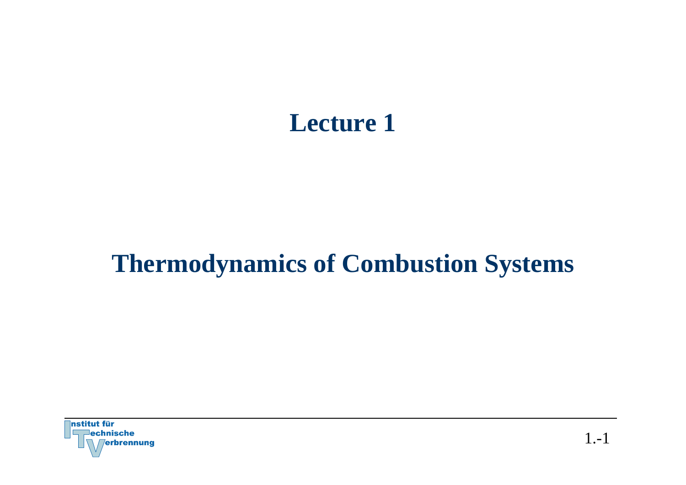# **Lecture 1**

# **Thermodynamics of Combustion Systems**

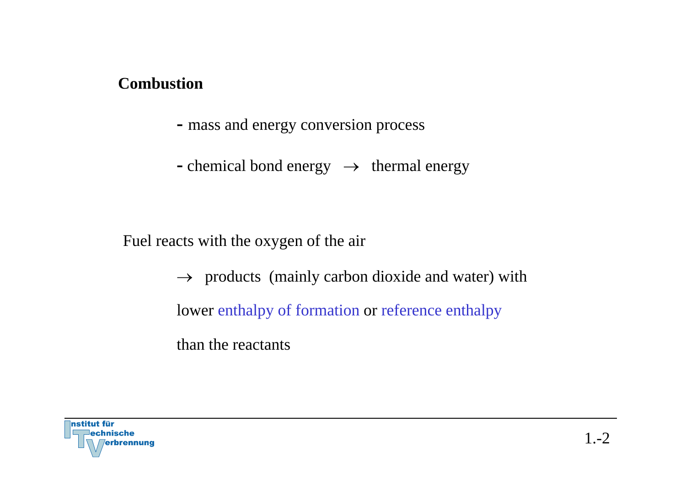#### **Combustion**

- **-** mass and energy conversion process
- **-** chemical bond energy <sup>→</sup> thermal energy

Fuel reacts with the oxygen of the air

 $\rightarrow$  products (mainly carbon dioxide and water) with lower enthalpy of formation or reference enthalpy

than the reactants

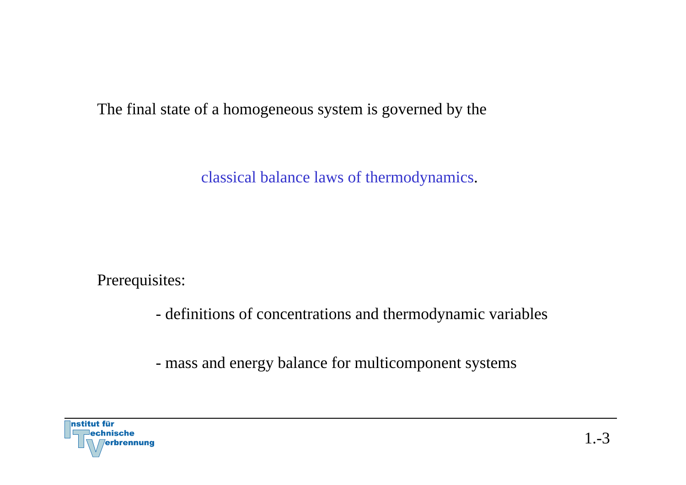The final state of a homogeneous system is governed by the

classical balance laws of thermodynamics.

Prerequisites:

definitions of concentrations and thermodynamic variables

mass and energy balance for multicomponent systems

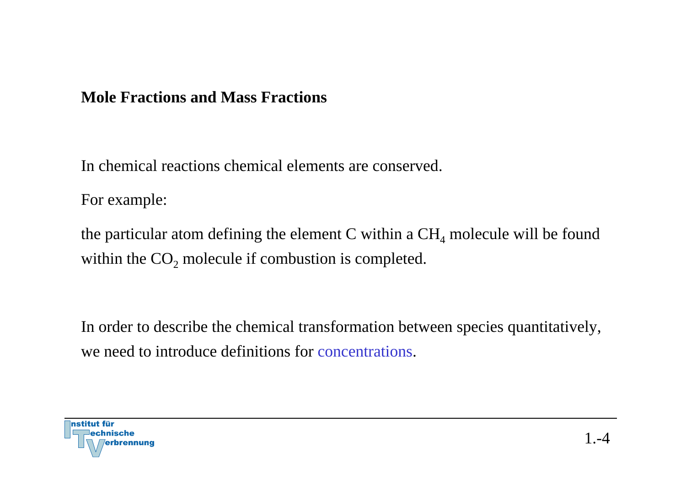#### **Mole Fractions and Mass Fractions**

In chemical reactions chemical elements are conserved.

For example:

the particular atom defining the element C within a  $\rm CH_{4}$  molecule will be found within the  $CO_2$  molecule if combustion is completed.

In order to describe the chemical transformation between species quantitatively, we need to introduce definitions for concentrations.

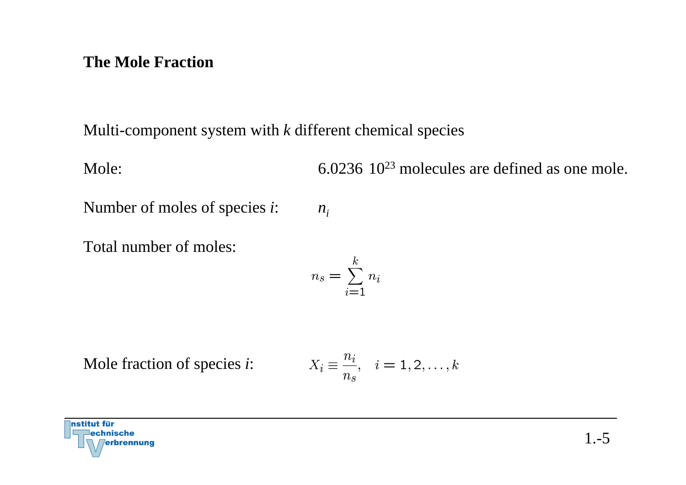#### **The Mole Fraction**

Multi-component system with *k* different chemical species

Mole: 6.0236 10<sup>23</sup> molecules are defined as one mole.

Number of moles of species *i*:  $n_i$ 

Total number of moles:

$$
n_s = \sum_{i=1}^k n_i
$$

Mole fraction of species *i*:

$$
X_i\equiv \frac{n_i}{n_s},\quad i=1,2,\ldots,k
$$

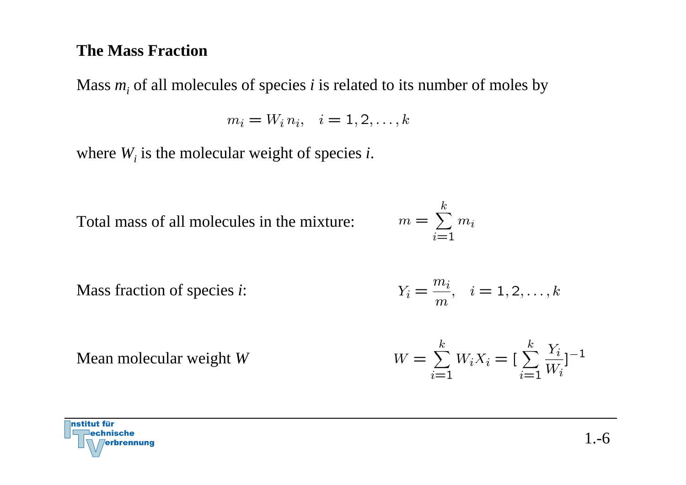#### **The Mass Fraction**

Mass *mi* of all molecules of species *i* is related to its number of moles by

$$
m_i = W_i n_i, \quad i = 1, 2, \dots, k
$$

where *Wi* is the molecular weight of species *i*.

Total mass of all molecules in the mixture:

$$
m = \sum_{i=1}^{k} m_i
$$

 $m$ .

Mass fraction of species *i*:

Mean molecular weight *W*

$$
Y_i = \frac{m_i}{m}, \quad i = 1, 2, \dots, k
$$

$$
W = \sum_{i=1}^{k} W_i X_i = \left[\sum_{i=1}^{k} \frac{Y_i}{W_i}\right]^{-1}
$$

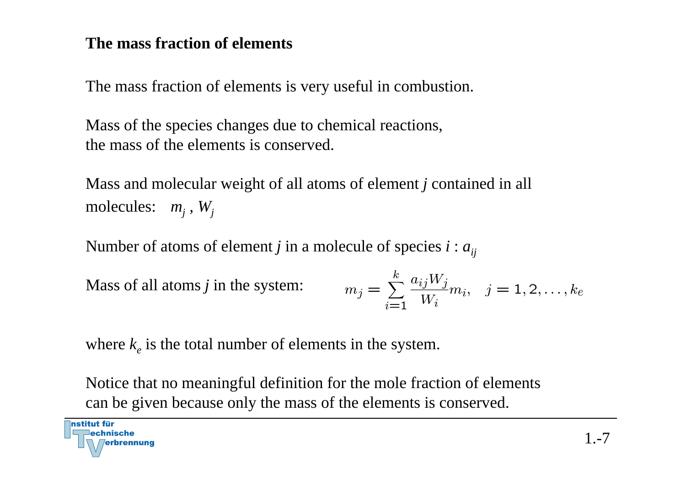#### **The mass fraction of elements**

The mass fraction of elements is very useful in combustion.

Mass of the species changes due to chemical reactions, the mass of the elements is conserved.

Mass and molecular weight of all atoms of element *j* contained in all molecules: *mj , Wj*

Number of atoms of element *j* in a molecule of species  $i : a_{ii}$ 

Mass of all atoms *j* in the system:

nstitut für

$$
m_j = \sum_{i=1}^{k} \frac{a_{ij} W_j}{W_i} m_i, \quad j = 1, 2, \dots, k_e
$$

where  $k_e$  is the total number of elements in the system.

Notice that no meaningful definition for the mole fraction of elements can be given because only the mass of the elements is conserved.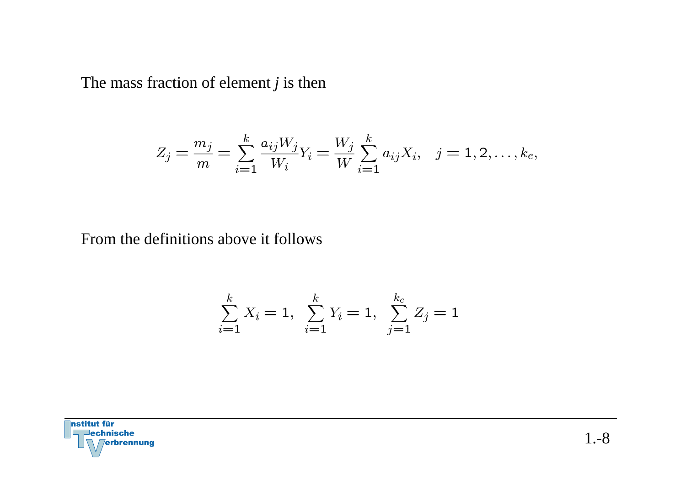The mass fraction of element *j* is then

$$
Z_j = \frac{m_j}{m} = \sum_{i=1}^k \frac{a_{ij} W_j}{W_i} Y_i = \frac{W_j}{W} \sum_{i=1}^k a_{ij} X_i, \quad j = 1, 2, \dots, k_e,
$$

From the definitions above it follows

$$
\sum_{i=1}^{k} X_i = 1, \sum_{i=1}^{k} Y_i = 1, \sum_{j=1}^{k_e} Z_j = 1
$$

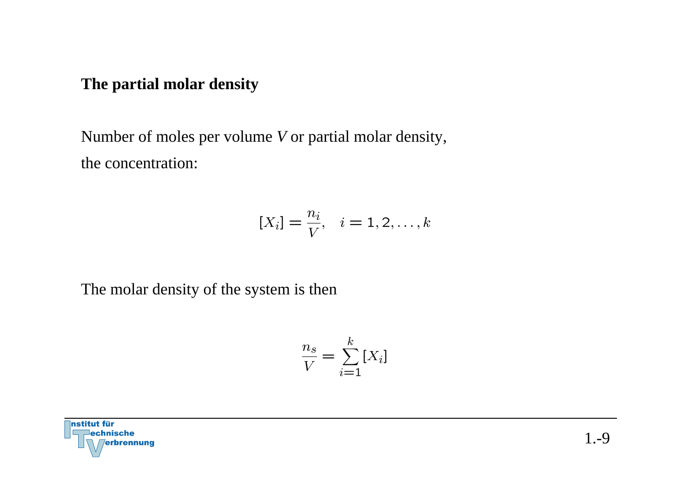#### **The partial molar density**

Number of moles per volume *V* or partial molar density, the concentration:

$$
[X_i] = \frac{n_i}{V}, \quad i = 1, 2, \dots, k
$$

The molar density of the system is then

$$
\frac{n_s}{V} = \sum_{i=1}^{k} [X_i]
$$

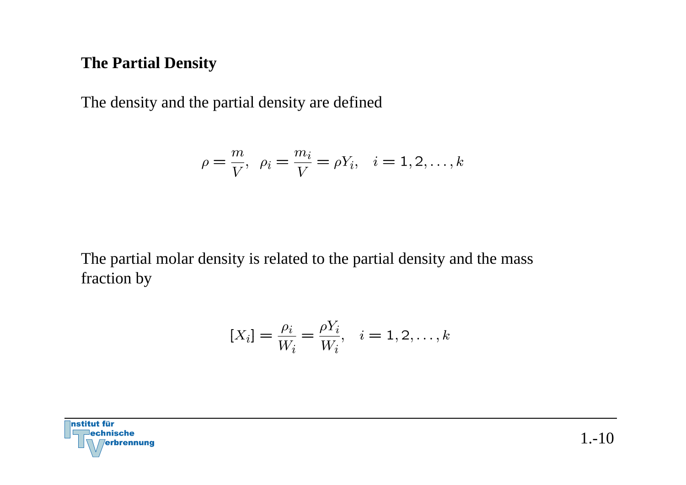#### **The Partial Density**

The density and the partial density are defined

$$
\rho = \frac{m}{V}, \ \ \rho_i = \frac{m_i}{V} = \rho Y_i, \quad i = 1, 2, \dots, k
$$

The partial molar density is related to the partial density and the mass fraction by

$$
[X_i] = \frac{\rho_i}{W_i} = \frac{\rho Y_i}{W_i}, \quad i = 1, 2, \dots, k
$$

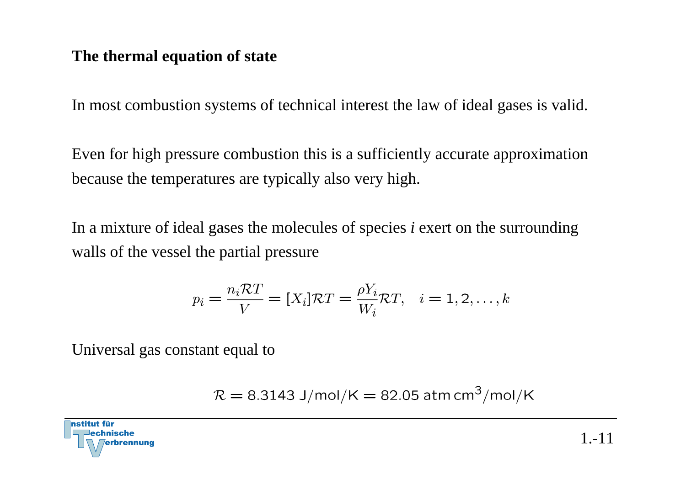#### **The thermal equation of state**

In most combustion systems of technical interest the law of ideal gases is valid.

Even for high pressure combustion this is a sufficiently accurate approximation because the temperatures are typically also very high.

In a mixture of ideal gases the molecules of species *i* exert on the surrounding walls of the vessel the partial pressure

$$
p_i = \frac{n_i \mathcal{R}T}{V} = [X_i]\mathcal{R}T = \frac{\rho Y_i}{W_i} \mathcal{R}T, \quad i = 1, 2, \dots, k
$$

Universal gas constant equal to

$$
\mathcal{R} = 8.3143 \text{ J/mol/K} = 82.05 \text{ atm cm}^3/\text{mol/K}
$$

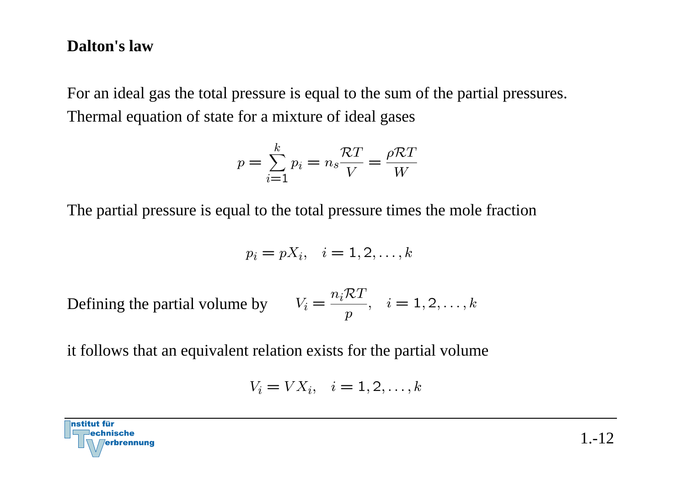#### **Dalton's law**

For an ideal gas the total pressure is equal to the sum of the partial pressures. Thermal equation of state for a mixture of ideal gases

$$
p = \sum_{i=1}^{k} p_i = n_s \frac{\mathcal{R}T}{V} = \frac{\rho \mathcal{R}T}{W}
$$

The partial pressure is equal to the total pressure times the mole fraction

$$
p_i = pX_i, \quad i = 1, 2, \dots, k
$$

Defining the partial volume by  $V_i = \frac{n_i \mathcal{R} T}{n}$ ,  $i = 1, 2, ..., k$ 

it follows that an equivalent relation exists for the partial volume

$$
V_i = V X_i, \quad i = 1, 2, \dots, k
$$

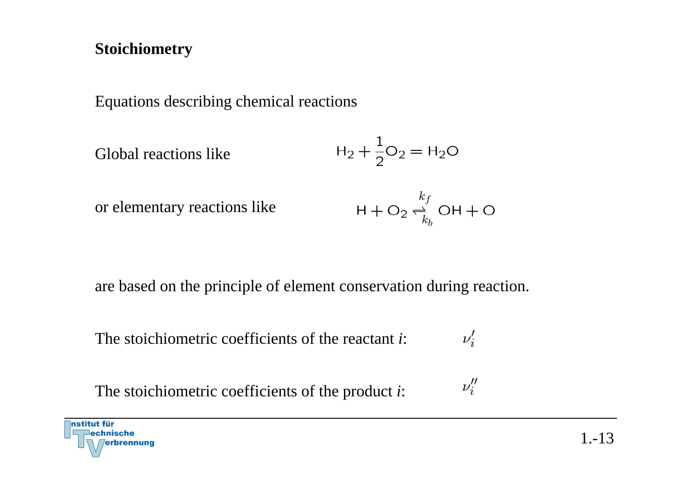#### **Stoichiometry**

Equations describing chemical reactions

Global reactions like 
$$
H_2 + \frac{1}{2}O_2 = H_2O
$$

or elementary reactions like

$$
\mathsf{H} + \mathsf{O}_2 \underset{k_b}{\rightleftharpoons} \mathsf{OH} + \mathsf{O}
$$

 $\nu''_i$ 

are based on the principle of element conservation during reaction.

 $\nu'_i$ The stoichiometric coefficients of the reactant *i*:

The stoichiometric coefficients of the product *i*:

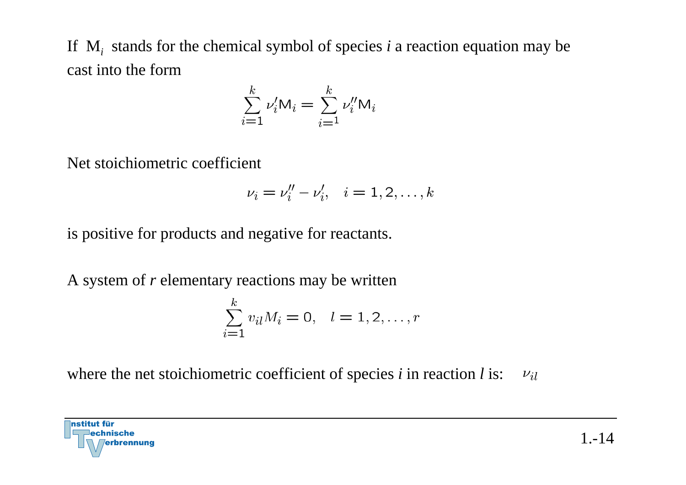If M*i* stands for the chemical symbol of species *i* a reaction equation may be cast into the form

$$
\sum_{i=1}^{k} \nu_i' \mathsf{M}_i = \sum_{i=1}^{k} \nu_i'' \mathsf{M}_i
$$

Net stoichiometric coefficient

$$
\nu_i = \nu''_i - \nu'_i, \quad i = 1, 2, \dots, k
$$

is positive for products and negative for reactants.

A system of *<sup>r</sup>* elementary reactions may be written

$$
\sum_{i=1}^{k} v_{il} M_i = 0, \quad l = 1, 2, \dots, r
$$

where the net stoichiometric coefficient of species *i* in reaction *l* is: $\nu_{il}$ 

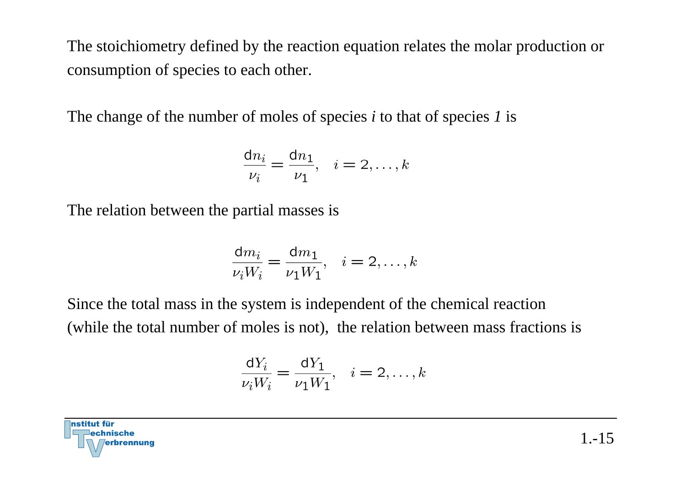The stoichiometry defined by the reaction equation relates the molar production or consumption of species to each other.

The change of the number of moles of species *i* to that of species *1* is

$$
\frac{\mathrm{d}n_i}{\nu_i} = \frac{\mathrm{d}n_1}{\nu_1}, \quad i = 2, \dots, k
$$

The relation between the partial masses is

$$
\frac{\mathrm{d}m_i}{\nu_i W_i} = \frac{\mathrm{d}m_1}{\nu_1 W_1}, \quad i = 2, \dots, k
$$

Since the total mass in the system is independent of the chemical reaction (while the total number of moles is not), the relation between mass fractions is

$$
\frac{\mathrm{d}Y_i}{\nu_i W_i} = \frac{\mathrm{d}Y_1}{\nu_1 W_1}, \quad i = 2, \dots, k
$$

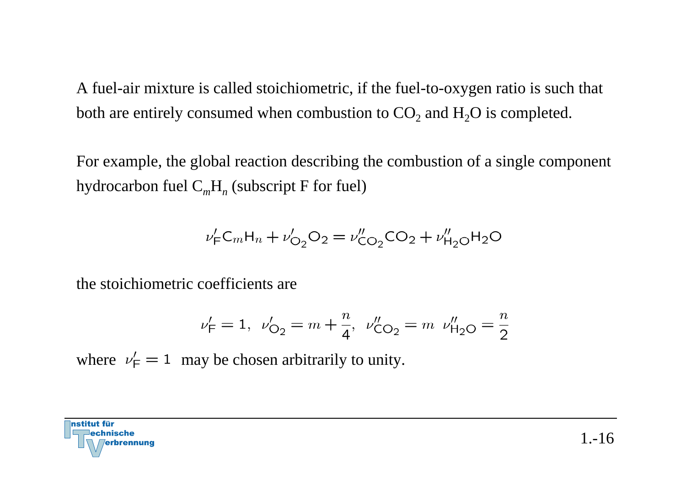A fuel-air mixture is called stoichiometric, if the fuel-to-oxygen ratio is such that both are entirely consumed when combustion to  $\mathrm{CO}_2$  and  $\mathrm{H}_2\mathrm{O}$  is completed.

For example, the global reaction describing the combustion of a single component hydrocarbon fuel C *m*H *n* (subscript F for fuel)

$$
\nu_{\rm F}' C_m H_n + \nu_{\rm O_2}' O_2 = \nu_{\rm CO_2}'' CO_2 + \nu_{\rm H_2O}'' H_2 O
$$

the stoichiometric coefficients are

$$
\nu'_{\mathsf{F}} = 1, \ \nu'_{\mathsf{O}_2} = m + \frac{n}{4}, \ \nu''_{\mathsf{CO}_2} = m \ \nu''_{\mathsf{H}_2\mathsf{O}} = \frac{n}{2}
$$

where  $\nu'_{\text{F}} = 1$  may be chosen arbitrarily to unity.

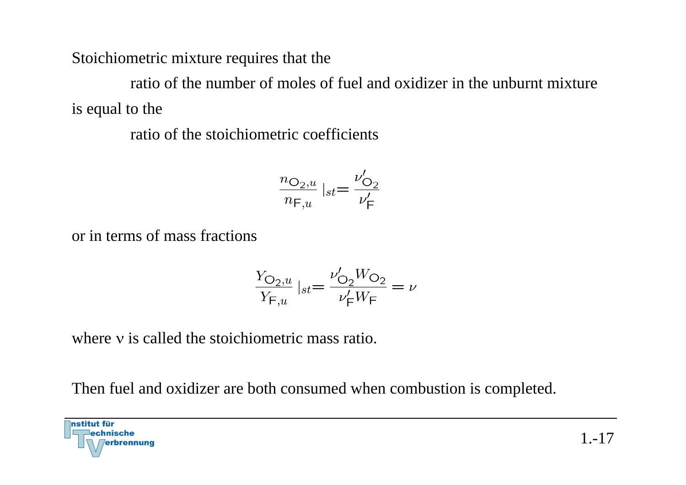Stoichiometric mixture requires that the

ratio of the number of moles of fuel and oxidizer in the unburnt mixture is equal to the

ratio of the stoichiometric coefficients

$$
\frac{n_{\text{O}_2,u}}{n_{\text{F},u}}\mid_{st}=\frac{\nu_{\text{O}_2}'}{\nu_{\text{F}}'}
$$

or in terms of mass fractions

$$
\frac{Y_{\text{O}_2,u}}{Y_{\text{F},u}}|_{st} = \frac{\nu_{\text{O}_2}' W_{\text{O}_2}}{\nu_{\text{F}}' W_{\text{F}}} = \nu
$$

where v is called the stoichiometric mass ratio.

Then fuel and oxidizer are both consumed when combustion is completed.

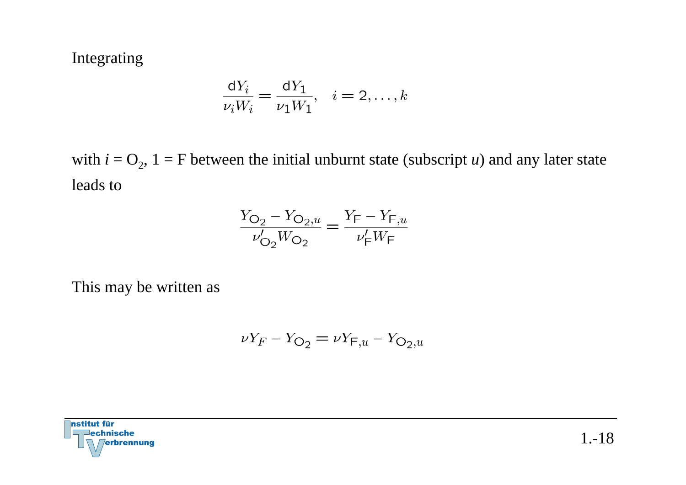Integrating

$$
\frac{\mathrm{d}Y_i}{\nu_i W_i} = \frac{\mathrm{d}Y_1}{\nu_1 W_1}, \quad i = 2, \dots, k
$$

with  $i = O_2$ ,  $1 = F$  between the initial unburnt state (subscript *u*) and any later state leads to

$$
\frac{Y_{\text{O}_2} - Y_{\text{O}_2, u}}{\nu'_{\text{O}_2}W_{\text{O}_2}} = \frac{Y_{\text{F}} - Y_{\text{F}, u}}{\nu'_{\text{F}}W_{\text{F}}}
$$

This may be written as

$$
\nu Y_F - Y_{\text{O}_2} = \nu Y_{\text{F},u} - Y_{\text{O}_2,u}
$$

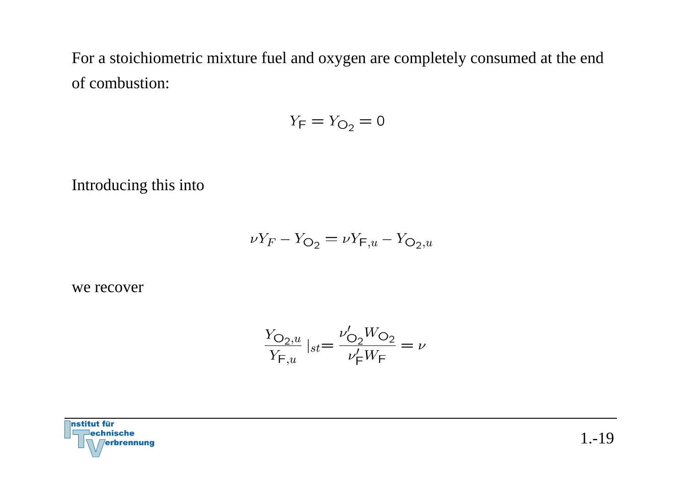For a stoichiometric mixture fuel and oxygen are completely consumed at the end of combustion:

$$
Y_{\mathsf{F}} = Y_{\mathsf{O}_2} = 0
$$

Introducing this into

$$
\nu Y_F - Y_{\mathsf{O}_2} = \nu Y_{\mathsf{F},u} - Y_{\mathsf{O}_2,u}
$$

we recover

$$
\frac{Y_{\text{O}_2,u}}{Y_{\text{F},u}}\mid_{st}=\frac{\nu_{\text{O}_2}'W_{\text{O}_2}}{\nu_{\text{F}}'W_{\text{F}}}=\nu
$$

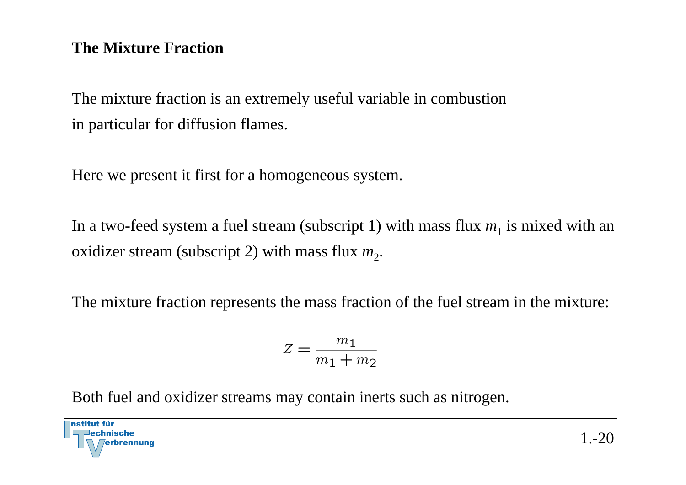#### **The Mixture Fraction**

The mixture fraction is an extremely useful variable in combustion in particular for diffusion flames.

Here we present it first for a homogeneous system.

In a two-feed system a fuel stream (subscript 1) with mass flux  $m_1$  is mixed with an oxidizer stream (subscript 2) with mass flux  $m_2$ .

The mixture fraction represents the mass fraction of the fuel stream in the mixture:

$$
Z = \frac{m_1}{m_1 + m_2}
$$

Both fuel and oxidizer streams may contain inerts such as nitrogen.

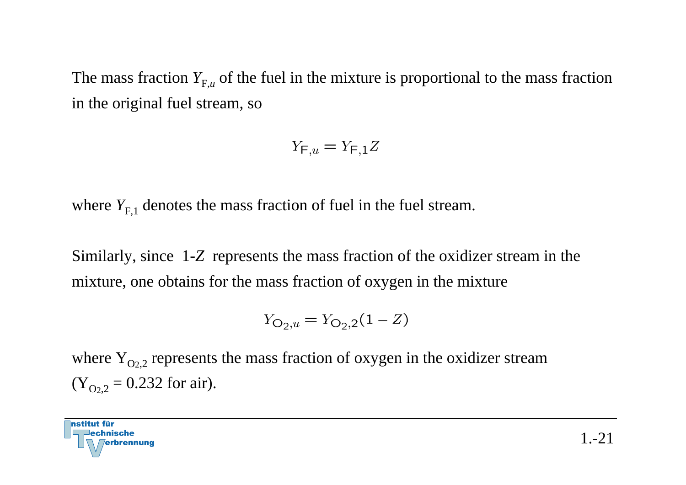The mass fraction  $Y_{F,u}$  of the fuel in the mixture is proportional to the mass fraction in the original fuel stream, so

$$
Y_{\mathsf{F},u} = Y_{\mathsf{F},1}Z
$$

where  $Y_{F,1}$  denotes the mass fraction of fuel in the fuel stream.

Similarly, since 1-*Z* represents the mass fraction of the oxidizer stream in the mixture, one obtains for the mass fraction of oxygen in the mixture

$$
Y_{\text{O}_2, u} = Y_{\text{O}_2, 2} (1 - Z)
$$

where  $Y_{Q_{2,2}}$  represents the mass fraction of oxygen in the oxidizer stream  $(Y_{Q_{2,2}} = 0.232$  for air).

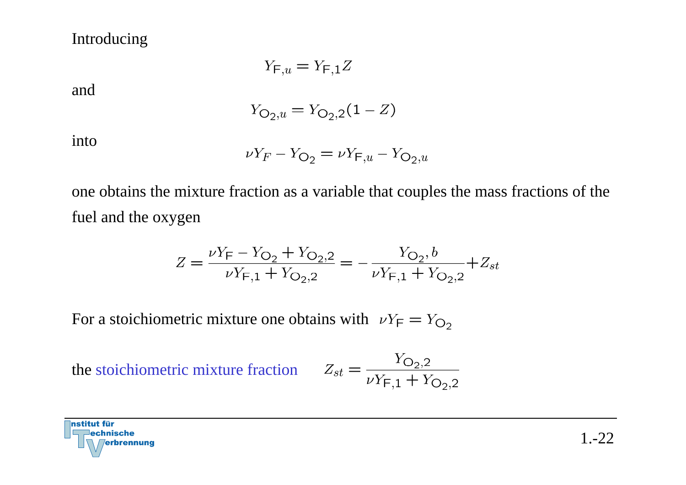#### Introducing

$$
Y_{\mathsf{F},u} = Y_{\mathsf{F},1}Z
$$

and

$$
Y_{\mathcal{O}_2, u} = Y_{\mathcal{O}_2, 2}(1 - Z)
$$

into

$$
\nu Y_F - Y_{\text{O}_2} = \nu Y_{\text{F},u} - Y_{\text{O}_2,u}
$$

one obtains the mixture fraction as a variable that couples the mass fractions of the fuel and the oxygen

$$
Z = \frac{\nu Y_{\mathsf{F}} - Y_{\mathsf{O}_2} + Y_{\mathsf{O}_2,2}}{\nu Y_{\mathsf{F},1} + Y_{\mathsf{O}_2,2}} = -\frac{Y_{\mathsf{O}_2}, b}{\nu Y_{\mathsf{F},1} + Y_{\mathsf{O}_2,2}} + Z_{st}
$$

For a stoichiometric mixture one obtains with  $\nu Y_F = Y_{O_2}$ 

the stoichiometric mixture fraction

$$
Z_{st} = \frac{Y_{\text{O}_2,2}}{\nu Y_{\text{F},1} + Y_{\text{O}_2,2}}
$$

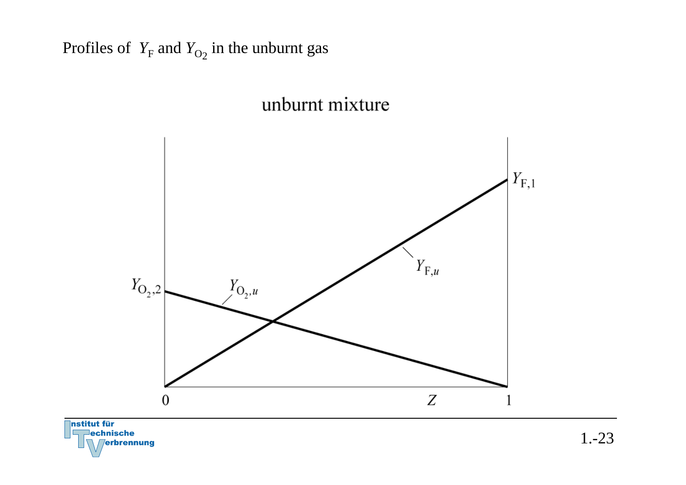### Profiles of *Y*<sub>F</sub> and *Y*<sub>O2</sub> in the unburnt gas

### unburnt mixture

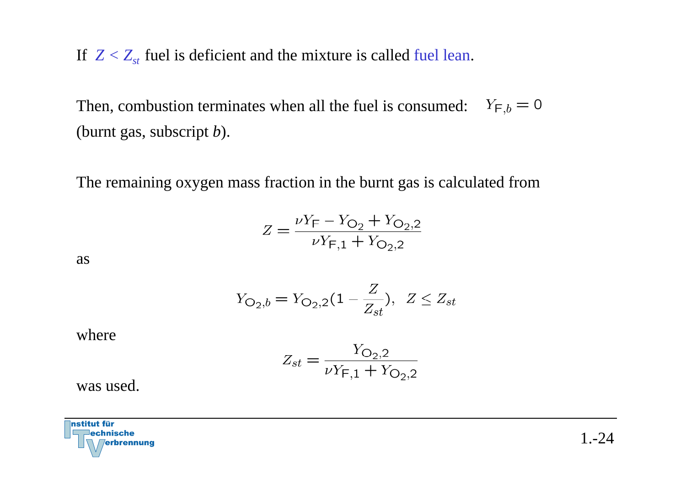If  $Z < Z_{st}$  fuel is deficient and the mixture is called fuel lean.

 $Y_{F,b} = 0$ Then, combustion terminates when all the fuel is consumed: (burnt gas, subscript *b*).

The remaining oxygen mass fraction in the burnt gas is calculated from

$$
Z = \frac{\nu Y_{\text{F}} - Y_{\text{O}_2} + Y_{\text{O}_2,2}}{\nu Y_{\text{F},1} + Y_{\text{O}_2,2}}
$$

as

$$
Y_{\mathcal{O}_2,b} = Y_{\mathcal{O}_2,2}(1 - \frac{Z}{Z_{st}}), \ \ Z \le Z_{st}
$$

where

$$
Z_{st} = \frac{Y_{\text{O}_2,2}}{\nu Y_{\text{F},1} + Y_{\text{O}_2,2}}
$$

was used.

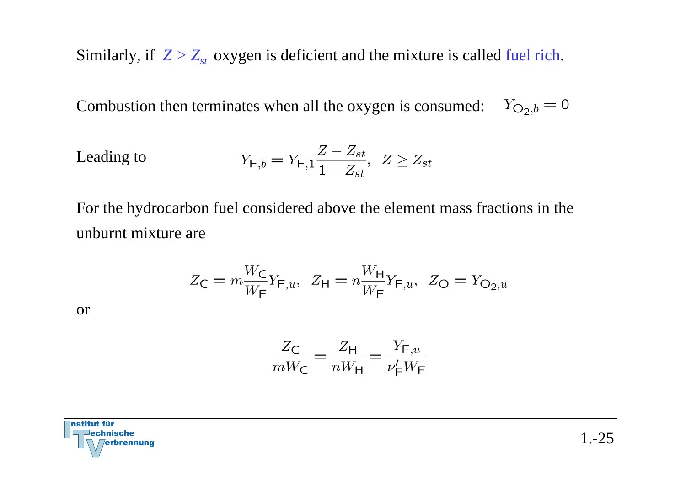Similarly, if  $Z > Z_{st}$  oxygen is deficient and the mixture is called fuel rich.

Combustion then terminates when all the oxygen is consumed:  $Y_{Q_2,b} = 0$ 

$$
\text{Leading to} \qquad \qquad Y_{F,b} = Y_{F,1} \frac{Z - Z_{st}}{1 - Z_{st}}, \ \ Z \ge Z_{st}
$$

For the hydrocarbon fuel considered above the element mass fractions in the unburnt mixture are

$$
Z_{\rm C} = m \frac{W_{\rm C}}{W_{\rm F}} Y_{\rm F,u}, \ \ Z_{\rm H} = n \frac{W_{\rm H}}{W_{\rm F}} Y_{\rm F,u}, \ \ Z_{\rm O} = Y_{\rm O_2,u}
$$

or

$$
\frac{Z_{\text{C}}}{mW_{\text{C}}} = \frac{Z_{\text{H}}}{nW_{\text{H}}} = \frac{Y_{\text{F},u}}{\nu_{\text{F}}'W_{\text{F}}}
$$

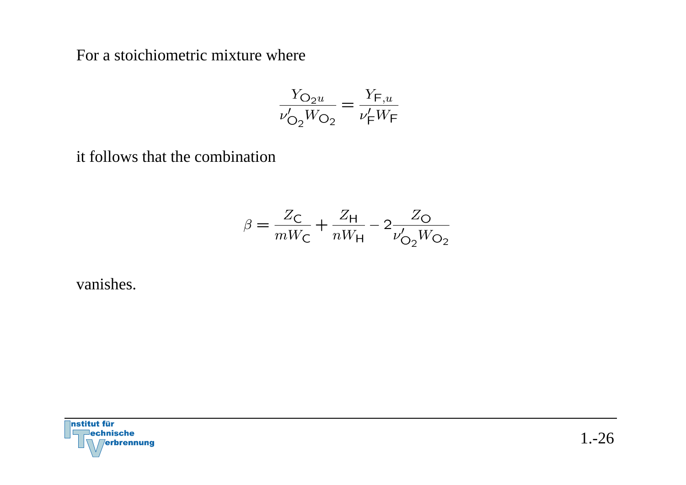For a stoichiometric mixture where

$$
\frac{Y_{\text{O}_2 u}}{\nu'_{\text{O}_2}W_{\text{O}_2}} = \frac{Y_{\text{F},u}}{\nu'_{\text{F}}W_{\text{F}}}
$$

it follows that the combination

$$
\beta = \frac{Z_{\rm C}}{mW_{\rm C}} + \frac{Z_{\rm H}}{nW_{\rm H}} - 2\frac{Z_{\rm O}}{\nu'_{\rm O_2}W_{\rm O_2}}
$$

vanishes.

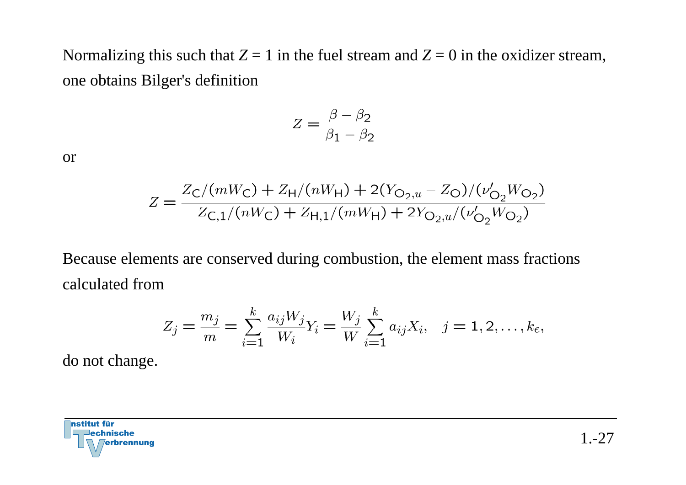Normalizing this such that  $Z = 1$  in the fuel stream and  $Z = 0$  in the oxidizer stream, one obtains Bilger's definition

$$
Z = \frac{\beta - \beta_2}{\beta_1 - \beta_2}
$$

or

$$
Z = \frac{Z_{\rm C}/(mW_{\rm C}) + Z_{\rm H}/(nW_{\rm H}) + 2(Y_{\rm O_2,u} - Z_{\rm O})/(\nu'_{\rm O_2}W_{\rm O_2})}{Z_{\rm C,1}/(nW_{\rm C}) + Z_{\rm H,1}/(mW_{\rm H}) + 2Y_{\rm O_2,u}/(\nu'_{\rm O_2}W_{\rm O_2})}
$$

Because elements are conserved during combustion, the element mass fractions calculated from

$$
Z_j = \frac{m_j}{m} = \sum_{i=1}^k \frac{a_{ij} W_j}{W_i} Y_i = \frac{W_j}{W} \sum_{i=1}^k a_{ij} X_i, \quad j = 1, 2, \dots, k_e,
$$

do not change.

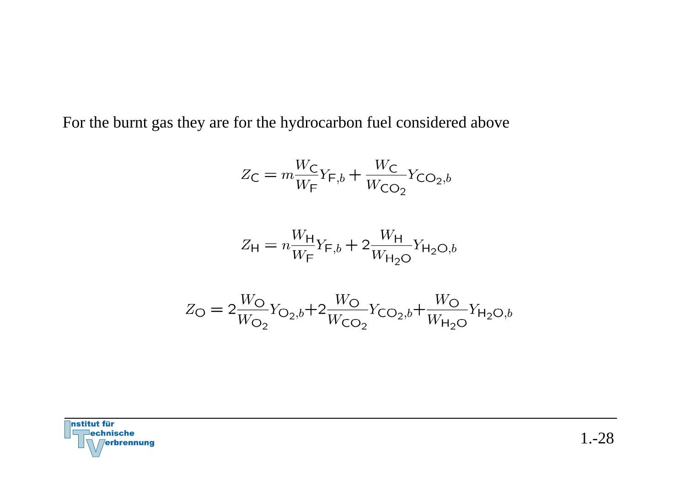For the burnt gas they are for the hydrocarbon fuel considered above

$$
Z_{\mathsf{C}} = m \frac{W_{\mathsf{C}}}{W_{\mathsf{F}}} Y_{\mathsf{F},b} + \frac{W_{\mathsf{C}}}{W_{\mathsf{CO}_2}} Y_{\mathsf{CO}_2,b}
$$

$$
Z_{\rm H} = n \frac{W_{\rm H}}{W_{\rm F}} Y_{\rm F,b} + 2 \frac{W_{\rm H}}{W_{\rm H_2O}} Y_{\rm H_2O,b}
$$

$$
Z_{\rm O} = 2\frac{W_{\rm O}}{W_{\rm O_2}} Y_{\rm O_2,b} + 2\frac{W_{\rm O}}{W_{\rm CO_2}} Y_{\rm CO_2,b} + \frac{W_{\rm O}}{W_{\rm H_2O}} Y_{\rm H_2O,b}
$$

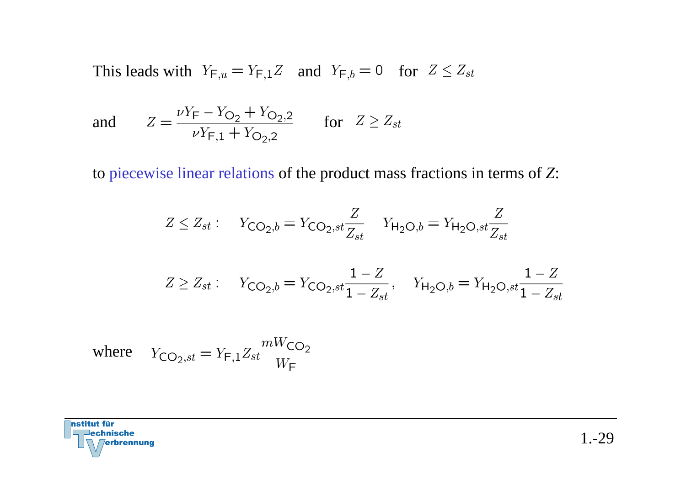This leads with  $Y_{F,u} = Y_{F,1}Z$  and  $Y_{F,b} = 0$  for  $Z \leq Z_{st}$ 

and 
$$
Z = \frac{\nu Y_F - Y_{O_2} + Y_{O_2,2}}{\nu Y_{F,1} + Y_{O_2,2}}
$$
 for  $Z \ge Z_{st}$ 

to piecewise linear relations of the product mass fractions in terms of *Z*:

$$
Z \le Z_{st}: \quad Y_{\text{CO}_2,b} = Y_{\text{CO}_2,st} \frac{Z}{Z_{st}} \quad Y_{\text{H}_2\text{O},b} = Y_{\text{H}_2\text{O},st} \frac{Z}{Z_{st}}
$$

$$
Z \ge Z_{st}: \quad Y_{\mathsf{CO}_2,b} = Y_{\mathsf{CO}_2,st} \frac{1-Z}{1-Z_{st}}, \quad Y_{\mathsf{H}_2\mathsf{O},b} = Y_{\mathsf{H}_2\mathsf{O},st} \frac{1-Z}{1-Z_{st}}
$$

where 
$$
Y_{\text{CO}_2, st} = Y_{\text{F},1} Z_{st} \frac{mW_{\text{CO}_2}}{W_{\text{F}}}
$$

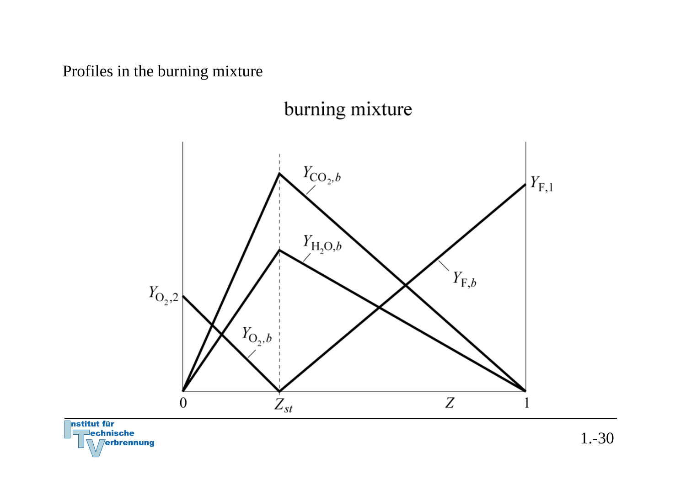Profiles in the burning mixture

## burning mixture



**Institut für lechnische erbrennung** 

1.-30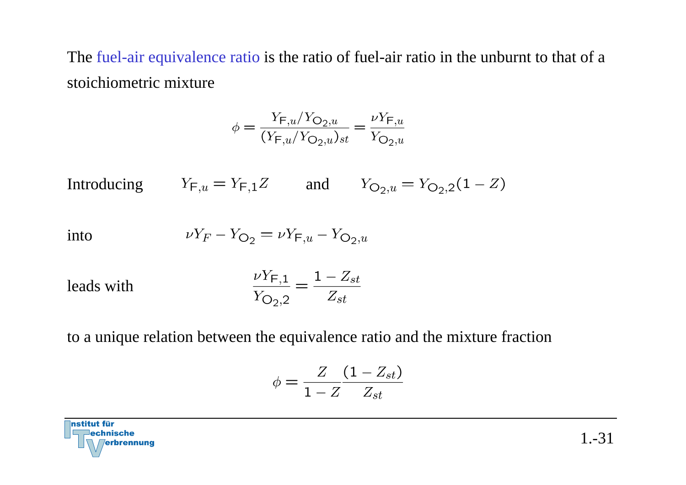The fuel-air equivalence ratio is the ratio of fuel-air ratio in the unburnt to that of a stoichiometric mixture

$$
\phi = \frac{Y_{\text{F},u}/Y_{\text{O}_2,u}}{(Y_{\text{F},u}/Y_{\text{O}_2,u})_{st}} = \frac{\nu Y_{\text{F},u}}{Y_{\text{O}_2,u}}
$$

Introducing  $Y_{F,u} = Y_{F,1}Z$  and  $Y_{O_2,u} = Y_{O_2,2}(1 - Z)$ 

$$
\text{into} \qquad \qquad \nu Y_F - Y_{\mathsf{O}_2} = \nu Y_{\mathsf{F},u} - Y_{\mathsf{O}_2,u}
$$

leads with 
$$
\frac{\nu Y_{F,1}}{Y_{O_2,2}} = \frac{1 - Z_{st}}{Z_{st}}
$$

to a unique relation between the equivalence ratio and the mixture fraction

$$
\phi = \frac{Z}{1-Z}\frac{(1-Z_{st})}{Z_{st}}
$$